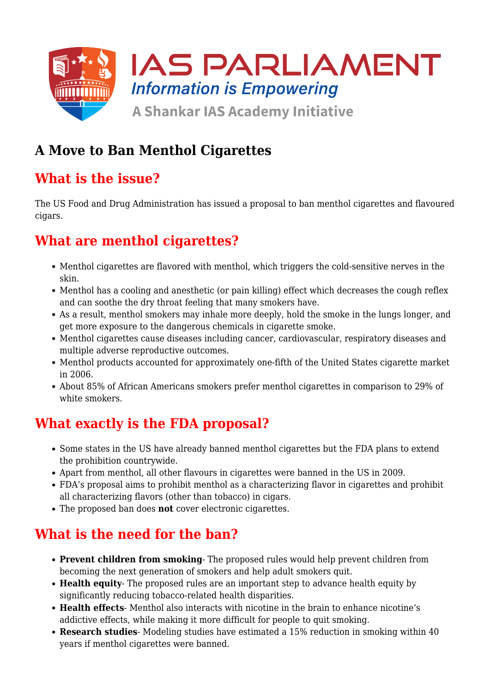

# **A Move to Ban Menthol Cigarettes**

# **What is the issue?**

The US Food and Drug Administration has issued a proposal to ban menthol cigarettes and flavoured cigars.

# **What are menthol cigarettes?**

- Menthol cigarettes are flavored with menthol, which triggers the cold-sensitive nerves in the skin.
- Menthol has a cooling and anesthetic (or pain killing) effect which decreases the cough reflex and can soothe the dry throat feeling that many smokers have.
- As a result, menthol smokers may inhale more deeply, hold the smoke in the lungs longer, and get more exposure to the dangerous chemicals in cigarette smoke.
- Menthol cigarettes cause diseases including cancer, cardiovascular, respiratory diseases and multiple adverse reproductive outcomes.
- Menthol products accounted for approximately one-fifth of the United States cigarette market in 2006.
- About 85% of African Americans smokers prefer menthol cigarettes in comparison to 29% of white smokers.

#### **What exactly is the FDA proposal?**

- Some states in the US have already banned menthol cigarettes but the FDA plans to extend the prohibition countrywide.
- Apart from menthol, all other flavours in cigarettes were banned in the US in 2009.
- FDA's proposal aims to prohibit menthol as a characterizing flavor in cigarettes and prohibit all characterizing flavors (other than tobacco) in cigars.
- The proposed ban does **not** cover electronic cigarettes.

# **What is the need for the ban?**

- **Prevent children from smoking** The proposed rules would help prevent children from becoming the next generation of smokers and help adult smokers quit.
- **Health equity** The proposed rules are an important step to advance health equity by significantly reducing tobacco-related health disparities.
- **Health effects** Menthol also interacts with nicotine in the brain to enhance nicotine's addictive effects, while making it more difficult for people to quit smoking.
- **Research studies** Modeling studies have estimated a 15% reduction in smoking within 40 years if menthol cigarettes were banned.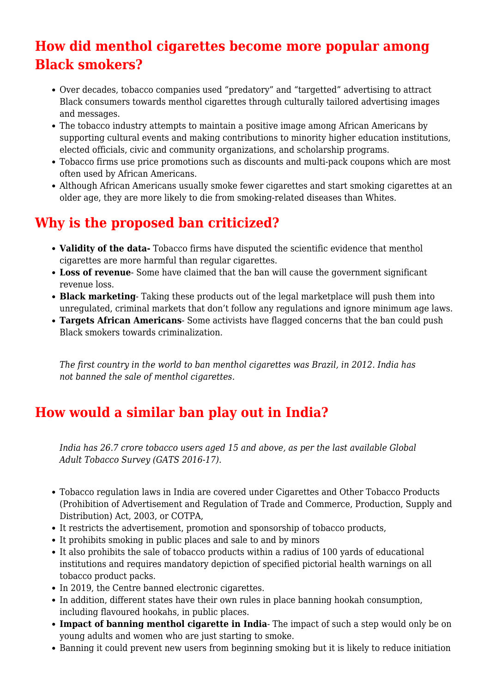# **How did menthol cigarettes become more popular among Black smokers?**

- Over decades, tobacco companies used "predatory" and "targetted" advertising to attract Black consumers towards menthol cigarettes through culturally tailored advertising images and messages.
- The tobacco industry attempts to maintain a positive image among African Americans by supporting cultural events and making contributions to minority higher education institutions, elected officials, civic and community organizations, and scholarship programs.
- Tobacco firms use price promotions such as discounts and multi-pack coupons which are most often used by African Americans.
- Although African Americans usually smoke fewer cigarettes and start smoking cigarettes at an older age, they are more likely to die from smoking-related diseases than Whites.

# **Why is the proposed ban criticized?**

- **Validity of the data-** Tobacco firms have disputed the scientific evidence that menthol cigarettes are more harmful than regular cigarettes.
- **Loss of revenue** Some have claimed that the ban will cause the government significant revenue loss.
- **Black marketing** Taking these products out of the legal marketplace will push them into unregulated, criminal markets that don't follow any regulations and ignore minimum age laws.
- **Targets African Americans** Some activists have flagged concerns that the ban could push Black smokers towards criminalization.

*The first country in the world to ban menthol cigarettes was Brazil, in 2012. India has not banned the sale of menthol cigarettes.*

# **How would a similar ban play out in India?**

*India has 26.7 crore tobacco users aged 15 and above, as per the last available Global Adult Tobacco Survey (GATS 2016-17).*

- Tobacco regulation laws in India are covered under Cigarettes and Other Tobacco Products (Prohibition of Advertisement and Regulation of Trade and Commerce, Production, Supply and Distribution) Act, 2003, or COTPA,
- It restricts the advertisement, promotion and sponsorship of tobacco products,
- It prohibits smoking in public places and sale to and by minors
- It also prohibits the sale of tobacco products within a radius of 100 yards of educational institutions and requires mandatory depiction of specified pictorial health warnings on all tobacco product packs.
- In 2019, the Centre banned electronic cigarettes.
- In addition, different states have their own rules in place banning hookah consumption, including flavoured hookahs, in public places.
- **Impact of banning menthol cigarette in India** The impact of such a step would only be on young adults and women who are just starting to smoke.
- Banning it could prevent new users from beginning smoking but it is likely to reduce initiation